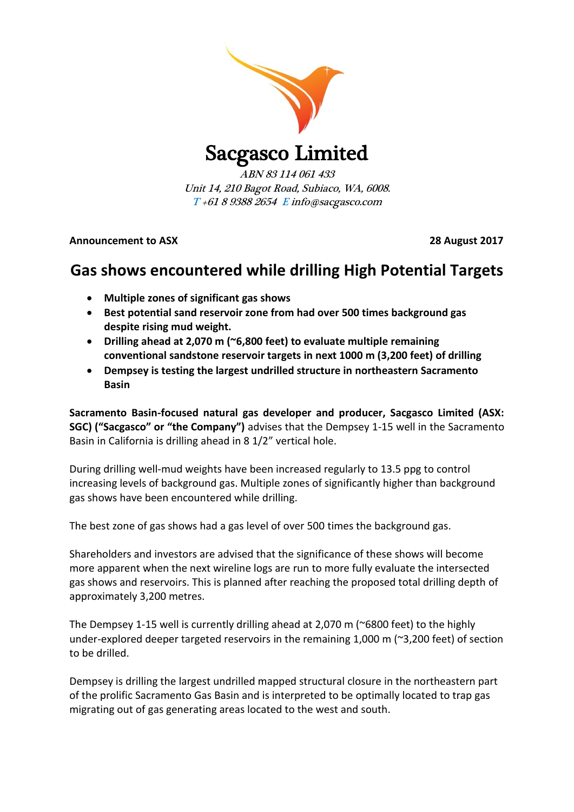

Sacgasco Limited

ABN 83 114 061 433 Unit 14, 210 Bagot Road, Subiaco, WA, 6008. T +61 8 9388 2654 E info@sacgasco.com

**Announcement to ASX 28 August 2017**

# **Gas shows encountered while drilling High Potential Targets**

- **Multiple zones of significant gas shows**
- **Best potential sand reservoir zone from had over 500 times background gas despite rising mud weight.**
- **Drilling ahead at 2,070 m (~6,800 feet) to evaluate multiple remaining conventional sandstone reservoir targets in next 1000 m (3,200 feet) of drilling**
- **Dempsey is testing the largest undrilled structure in northeastern Sacramento Basin**

**Sacramento Basin-focused natural gas developer and producer, Sacgasco Limited (ASX: SGC) ("Sacgasco" or "the Company")** advises that the Dempsey 1-15 well in the Sacramento Basin in California is drilling ahead in 8 1/2" vertical hole.

During drilling well-mud weights have been increased regularly to 13.5 ppg to control increasing levels of background gas. Multiple zones of significantly higher than background gas shows have been encountered while drilling.

The best zone of gas shows had a gas level of over 500 times the background gas.

Shareholders and investors are advised that the significance of these shows will become more apparent when the next wireline logs are run to more fully evaluate the intersected gas shows and reservoirs. This is planned after reaching the proposed total drilling depth of approximately 3,200 metres.

The Dempsey 1-15 well is currently drilling ahead at 2,070 m (~6800 feet) to the highly under-explored deeper targeted reservoirs in the remaining 1,000 m (~3,200 feet) of section to be drilled.

Dempsey is drilling the largest undrilled mapped structural closure in the northeastern part of the prolific Sacramento Gas Basin and is interpreted to be optimally located to trap gas migrating out of gas generating areas located to the west and south.